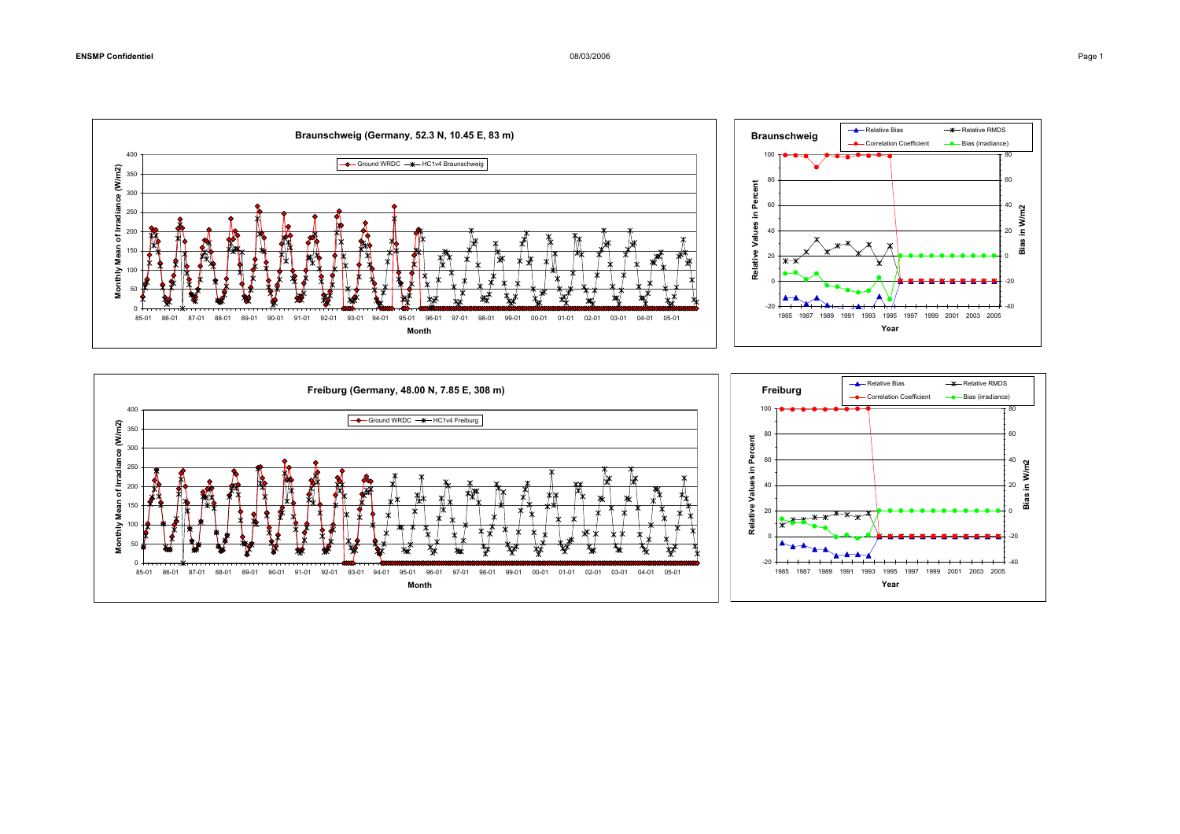





 $-40$ -20

**Bias in W/m2**

in W/m2 3ias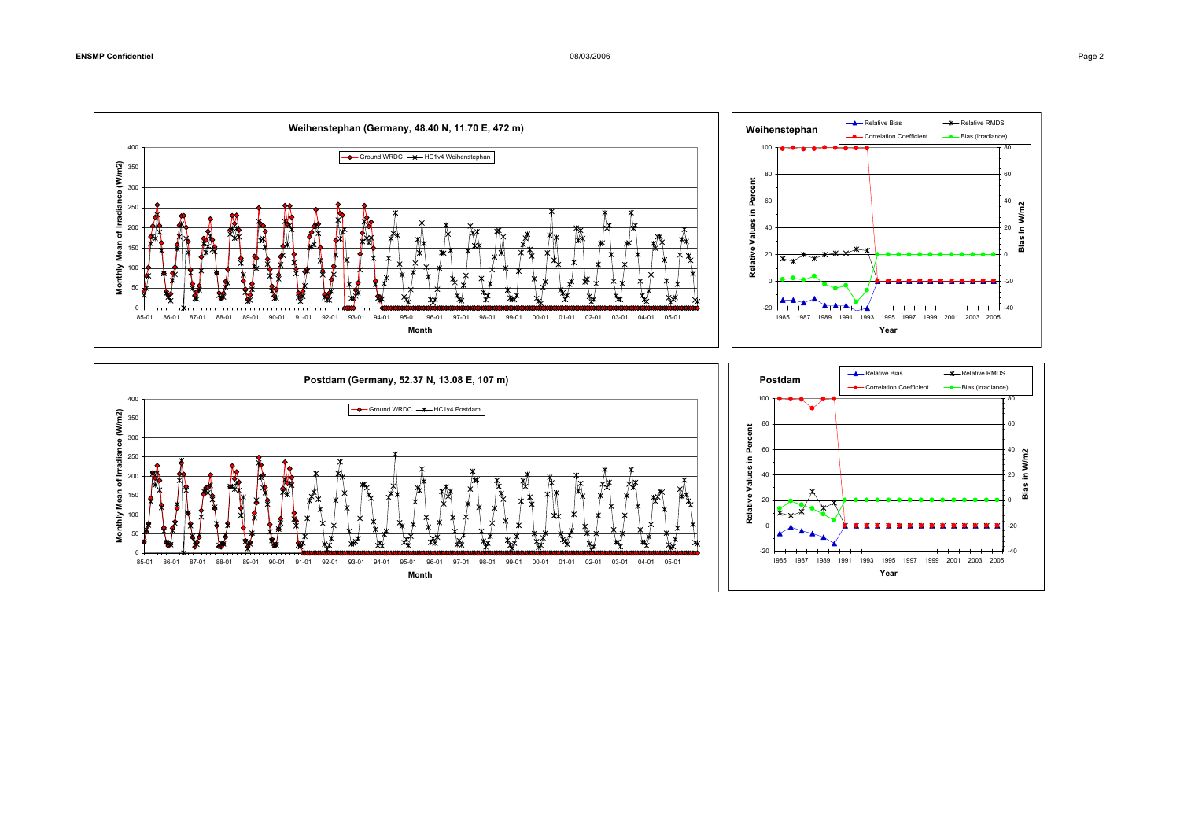

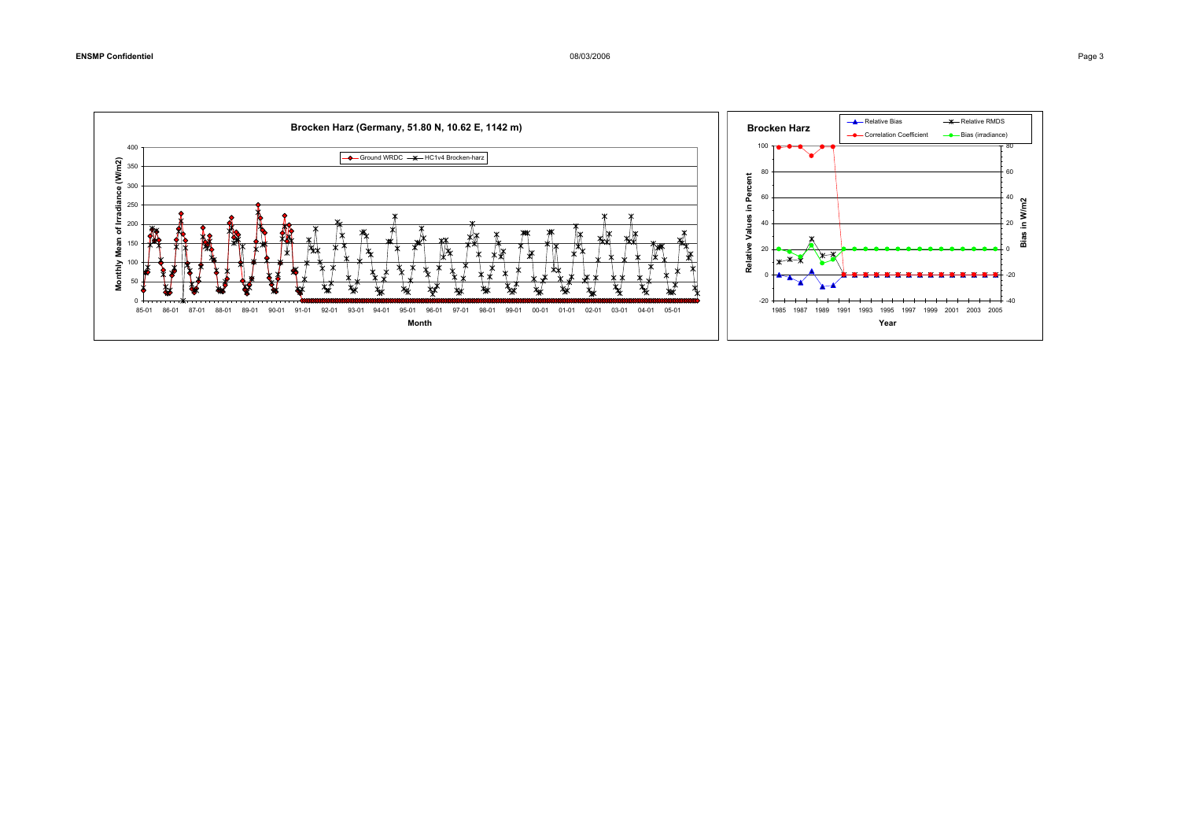